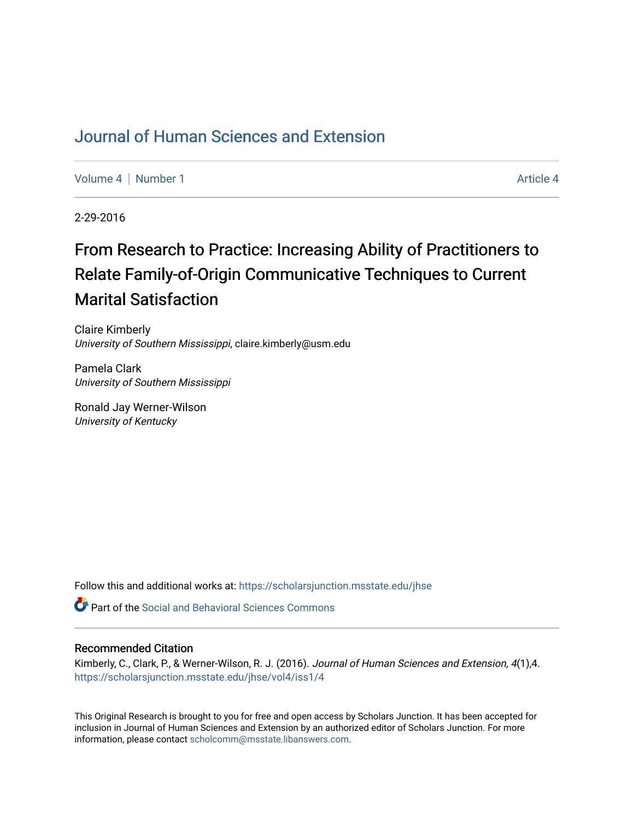# [Journal of Human Sciences and Extension](https://scholarsjunction.msstate.edu/jhse)

[Volume 4](https://scholarsjunction.msstate.edu/jhse/vol4) | [Number 1](https://scholarsjunction.msstate.edu/jhse/vol4/iss1) Article 4

2-29-2016

# From Research to Practice: Increasing Ability of Practitioners to Relate Family-of-Origin Communicative Techniques to Current Marital Satisfaction

Claire Kimberly University of Southern Mississippi, claire.kimberly@usm.edu

Pamela Clark University of Southern Mississippi

Ronald Jay Werner-Wilson University of Kentucky

Follow this and additional works at: [https://scholarsjunction.msstate.edu/jhse](https://scholarsjunction.msstate.edu/jhse?utm_source=scholarsjunction.msstate.edu%2Fjhse%2Fvol4%2Fiss1%2F4&utm_medium=PDF&utm_campaign=PDFCoverPages)

Part of the [Social and Behavioral Sciences Commons](http://network.bepress.com/hgg/discipline/316?utm_source=scholarsjunction.msstate.edu%2Fjhse%2Fvol4%2Fiss1%2F4&utm_medium=PDF&utm_campaign=PDFCoverPages) 

#### Recommended Citation

Kimberly, C., Clark, P., & Werner-Wilson, R. J. (2016). Journal of Human Sciences and Extension, 4(1),4. [https://scholarsjunction.msstate.edu/jhse/vol4/iss1/4](https://scholarsjunction.msstate.edu/jhse/vol4/iss1/4?utm_source=scholarsjunction.msstate.edu%2Fjhse%2Fvol4%2Fiss1%2F4&utm_medium=PDF&utm_campaign=PDFCoverPages)

This Original Research is brought to you for free and open access by Scholars Junction. It has been accepted for inclusion in Journal of Human Sciences and Extension by an authorized editor of Scholars Junction. For more information, please contact [scholcomm@msstate.libanswers.com](mailto:scholcomm@msstate.libanswers.com).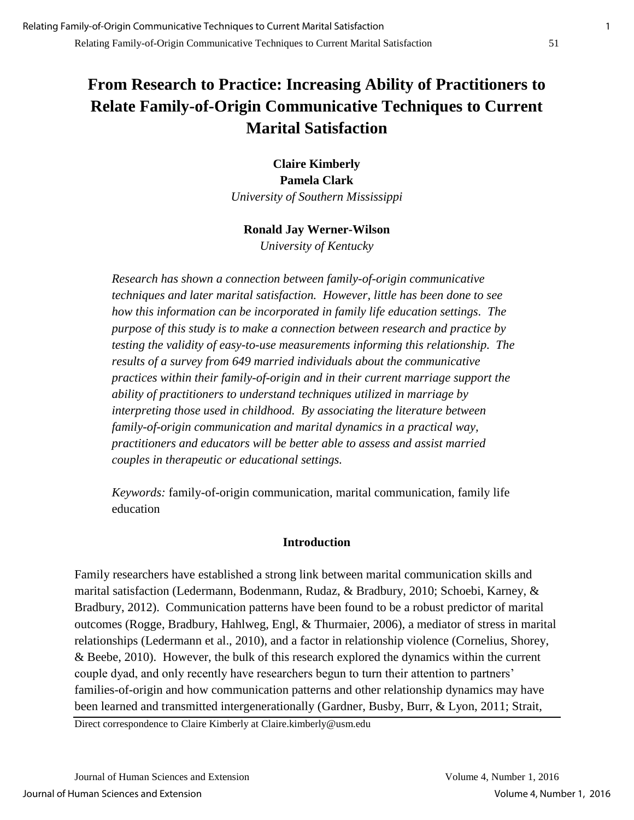# **From Research to Practice: Increasing Ability of Practitioners to Relate Family-of-Origin Communicative Techniques to Current Marital Satisfaction**

**Claire Kimberly Pamela Clark** *University of Southern Mississippi*

# **Ronald Jay Werner-Wilson**

*University of Kentucky* 

*Research has shown a connection between family-of-origin communicative techniques and later marital satisfaction. However, little has been done to see how this information can be incorporated in family life education settings. The purpose of this study is to make a connection between research and practice by testing the validity of easy-to-use measurements informing this relationship. The results of a survey from 649 married individuals about the communicative practices within their family-of-origin and in their current marriage support the ability of practitioners to understand techniques utilized in marriage by interpreting those used in childhood. By associating the literature between family-of-origin communication and marital dynamics in a practical way, practitioners and educators will be better able to assess and assist married couples in therapeutic or educational settings.* 

*Keywords:* family-of-origin communication, marital communication, family life education

#### **Introduction**

Family researchers have established a strong link between marital communication skills and marital satisfaction (Ledermann, Bodenmann, Rudaz, & Bradbury, 2010; Schoebi, Karney, & Bradbury, 2012). Communication patterns have been found to be a robust predictor of marital outcomes (Rogge, Bradbury, Hahlweg, Engl, & Thurmaier, 2006), a mediator of stress in marital relationships (Ledermann et al., 2010), and a factor in relationship violence (Cornelius, Shorey, & Beebe, 2010). However, the bulk of this research explored the dynamics within the current couple dyad, and only recently have researchers begun to turn their attention to partners' families-of-origin and how communication patterns and other relationship dynamics may have been learned and transmitted intergenerationally (Gardner, Busby, Burr, & Lyon, 2011; Strait,

Direct correspondence to Claire Kimberly at Claire.kimberly@usm.edu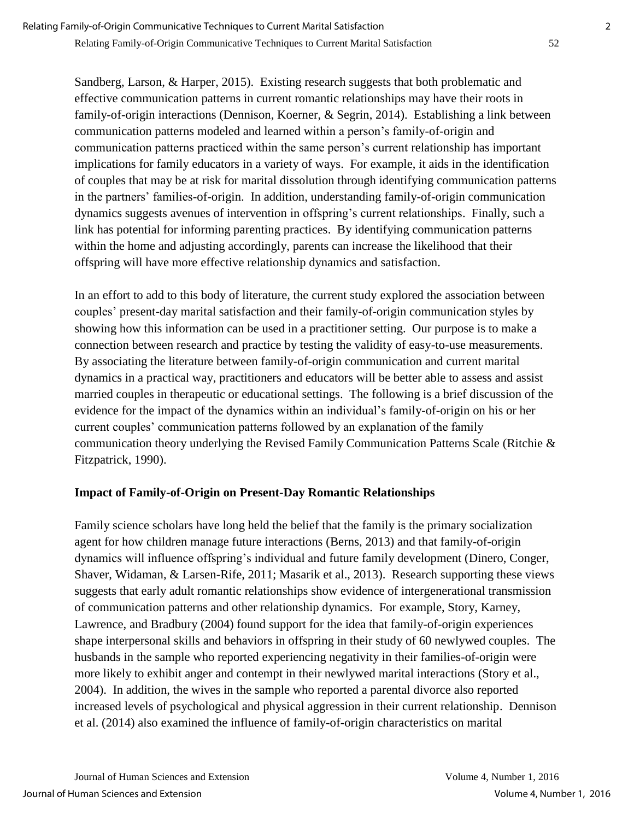Sandberg, Larson, & Harper, 2015). Existing research suggests that both problematic and effective communication patterns in current romantic relationships may have their roots in family-of-origin interactions (Dennison, Koerner, & Segrin, 2014). Establishing a link between communication patterns modeled and learned within a person's family-of-origin and communication patterns practiced within the same person's current relationship has important implications for family educators in a variety of ways. For example, it aids in the identification of couples that may be at risk for marital dissolution through identifying communication patterns in the partners' families-of-origin. In addition, understanding family-of-origin communication dynamics suggests avenues of intervention in offspring's current relationships. Finally, such a link has potential for informing parenting practices. By identifying communication patterns within the home and adjusting accordingly, parents can increase the likelihood that their offspring will have more effective relationship dynamics and satisfaction.

In an effort to add to this body of literature, the current study explored the association between couples' present-day marital satisfaction and their family-of-origin communication styles by showing how this information can be used in a practitioner setting. Our purpose is to make a connection between research and practice by testing the validity of easy-to-use measurements. By associating the literature between family-of-origin communication and current marital dynamics in a practical way, practitioners and educators will be better able to assess and assist married couples in therapeutic or educational settings. The following is a brief discussion of the evidence for the impact of the dynamics within an individual's family-of-origin on his or her current couples' communication patterns followed by an explanation of the family communication theory underlying the Revised Family Communication Patterns Scale (Ritchie & Fitzpatrick, 1990).

# **Impact of Family-of-Origin on Present-Day Romantic Relationships**

Family science scholars have long held the belief that the family is the primary socialization agent for how children manage future interactions (Berns, 2013) and that family-of-origin dynamics will influence offspring's individual and future family development (Dinero, Conger, Shaver, Widaman, & Larsen-Rife, 2011; Masarik et al., 2013). Research supporting these views suggests that early adult romantic relationships show evidence of intergenerational transmission of communication patterns and other relationship dynamics. For example, Story, Karney, Lawrence, and Bradbury (2004) found support for the idea that family-of-origin experiences shape interpersonal skills and behaviors in offspring in their study of 60 newlywed couples. The husbands in the sample who reported experiencing negativity in their families-of-origin were more likely to exhibit anger and contempt in their newlywed marital interactions (Story et al., 2004). In addition, the wives in the sample who reported a parental divorce also reported increased levels of psychological and physical aggression in their current relationship. Dennison et al. (2014) also examined the influence of family-of-origin characteristics on marital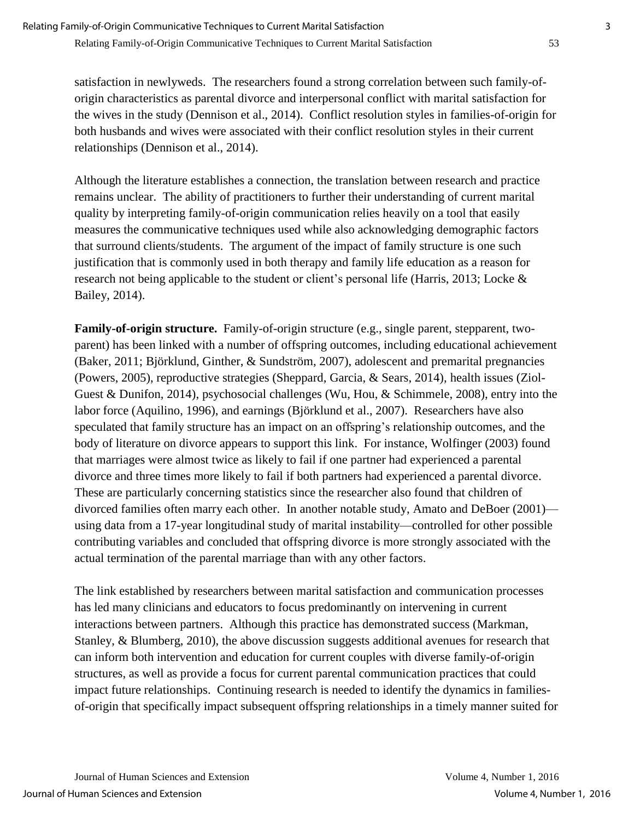satisfaction in newlyweds. The researchers found a strong correlation between such family-oforigin characteristics as parental divorce and interpersonal conflict with marital satisfaction for the wives in the study (Dennison et al., 2014). Conflict resolution styles in families-of-origin for both husbands and wives were associated with their conflict resolution styles in their current relationships (Dennison et al., 2014).

Although the literature establishes a connection, the translation between research and practice remains unclear. The ability of practitioners to further their understanding of current marital quality by interpreting family-of-origin communication relies heavily on a tool that easily measures the communicative techniques used while also acknowledging demographic factors that surround clients/students. The argument of the impact of family structure is one such justification that is commonly used in both therapy and family life education as a reason for research not being applicable to the student or client's personal life (Harris, 2013; Locke & Bailey, 2014).

**Family-of-origin structure.** Family-of-origin structure (e.g., single parent, stepparent, twoparent) has been linked with a number of offspring outcomes, including educational achievement (Baker, 2011; Björklund, Ginther, & Sundström, 2007), adolescent and premarital pregnancies (Powers, 2005), reproductive strategies (Sheppard, Garcia, & Sears, 2014), health issues (Ziol-Guest & Dunifon, 2014), psychosocial challenges (Wu, Hou, & Schimmele, 2008), entry into the labor force (Aquilino, 1996), and earnings (Björklund et al., 2007). Researchers have also speculated that family structure has an impact on an offspring's relationship outcomes, and the body of literature on divorce appears to support this link. For instance, Wolfinger (2003) found that marriages were almost twice as likely to fail if one partner had experienced a parental divorce and three times more likely to fail if both partners had experienced a parental divorce. These are particularly concerning statistics since the researcher also found that children of divorced families often marry each other. In another notable study, Amato and DeBoer (2001) using data from a 17-year longitudinal study of marital instability—controlled for other possible contributing variables and concluded that offspring divorce is more strongly associated with the actual termination of the parental marriage than with any other factors.

The link established by researchers between marital satisfaction and communication processes has led many clinicians and educators to focus predominantly on intervening in current interactions between partners. Although this practice has demonstrated success (Markman, Stanley, & Blumberg, 2010), the above discussion suggests additional avenues for research that can inform both intervention and education for current couples with diverse family-of-origin structures, as well as provide a focus for current parental communication practices that could impact future relationships. Continuing research is needed to identify the dynamics in familiesof-origin that specifically impact subsequent offspring relationships in a timely manner suited for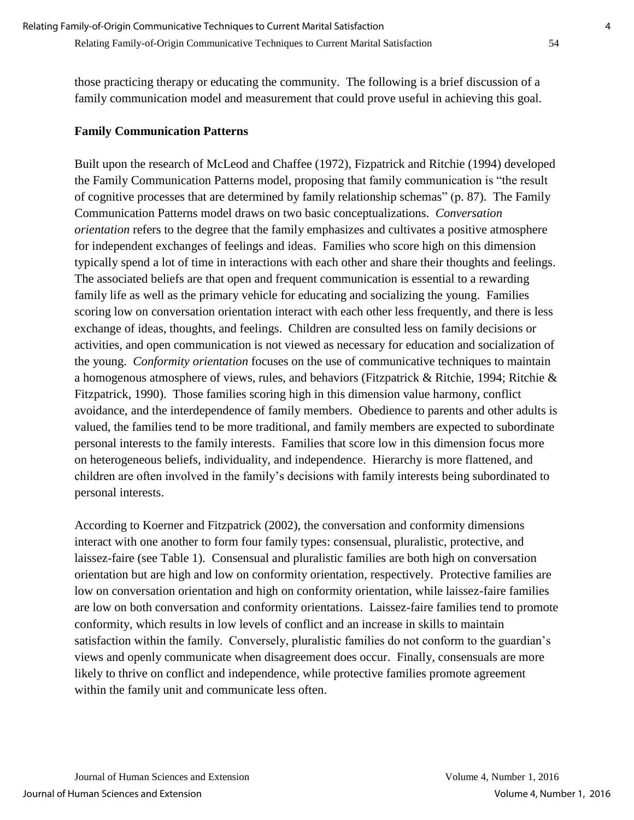those practicing therapy or educating the community. The following is a brief discussion of a family communication model and measurement that could prove useful in achieving this goal.

### **Family Communication Patterns**

Built upon the research of McLeod and Chaffee (1972), Fizpatrick and Ritchie (1994) developed the Family Communication Patterns model, proposing that family communication is "the result of cognitive processes that are determined by family relationship schemas" (p. 87). The Family Communication Patterns model draws on two basic conceptualizations. *Conversation orientation* refers to the degree that the family emphasizes and cultivates a positive atmosphere for independent exchanges of feelings and ideas. Families who score high on this dimension typically spend a lot of time in interactions with each other and share their thoughts and feelings. The associated beliefs are that open and frequent communication is essential to a rewarding family life as well as the primary vehicle for educating and socializing the young. Families scoring low on conversation orientation interact with each other less frequently, and there is less exchange of ideas, thoughts, and feelings. Children are consulted less on family decisions or activities, and open communication is not viewed as necessary for education and socialization of the young. *Conformity orientation* focuses on the use of communicative techniques to maintain a homogenous atmosphere of views, rules, and behaviors (Fitzpatrick & Ritchie, 1994; Ritchie & Fitzpatrick, 1990). Those families scoring high in this dimension value harmony, conflict avoidance, and the interdependence of family members. Obedience to parents and other adults is valued, the families tend to be more traditional, and family members are expected to subordinate personal interests to the family interests. Families that score low in this dimension focus more on heterogeneous beliefs, individuality, and independence. Hierarchy is more flattened, and children are often involved in the family's decisions with family interests being subordinated to personal interests.

According to Koerner and Fitzpatrick (2002), the conversation and conformity dimensions interact with one another to form four family types: consensual, pluralistic, protective, and laissez-faire (see Table 1). Consensual and pluralistic families are both high on conversation orientation but are high and low on conformity orientation, respectively. Protective families are low on conversation orientation and high on conformity orientation, while laissez-faire families are low on both conversation and conformity orientations. Laissez-faire families tend to promote conformity, which results in low levels of conflict and an increase in skills to maintain satisfaction within the family. Conversely, pluralistic families do not conform to the guardian's views and openly communicate when disagreement does occur. Finally, consensuals are more likely to thrive on conflict and independence, while protective families promote agreement within the family unit and communicate less often.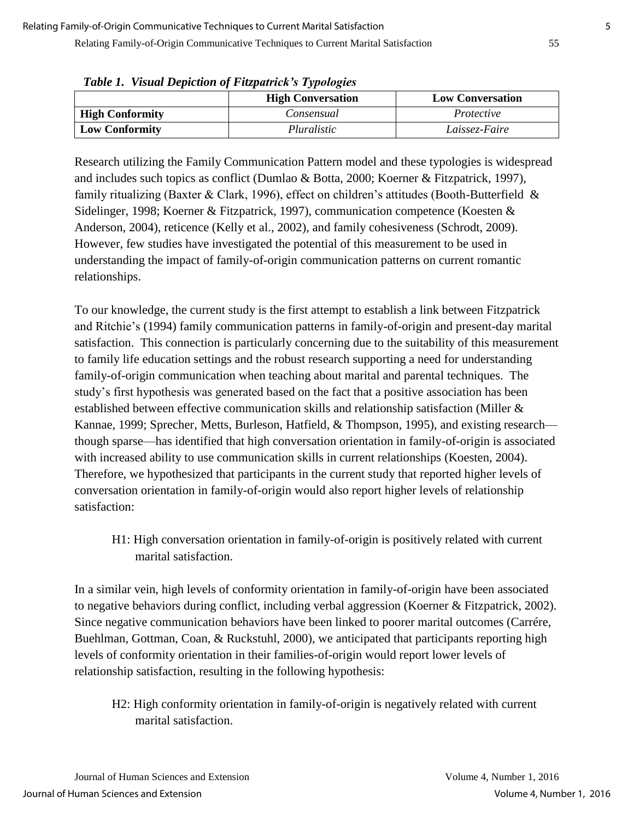Relating Family-of-Origin Communicative Techniques to Current Marital Satisfaction 55

|                        | <b>High Conversation</b> | <b>Low Conversation</b> |
|------------------------|--------------------------|-------------------------|
| <b>High Conformity</b> | Consensual               | Protective              |
| <b>Low Conformity</b>  | Pluralistic              | Laissez-Faire           |

*Table 1. Visual Depiction of Fitzpatrick's Typologies*

Research utilizing the Family Communication Pattern model and these typologies is widespread and includes such topics as conflict (Dumlao & Botta, 2000; Koerner & Fitzpatrick, 1997), family ritualizing (Baxter & Clark, 1996), effect on children's attitudes (Booth-Butterfield & Sidelinger, 1998; Koerner & Fitzpatrick, 1997), communication competence (Koesten & Anderson, 2004), reticence (Kelly et al., 2002), and family cohesiveness (Schrodt, 2009). However, few studies have investigated the potential of this measurement to be used in understanding the impact of family-of-origin communication patterns on current romantic relationships.

To our knowledge, the current study is the first attempt to establish a link between Fitzpatrick and Ritchie's (1994) family communication patterns in family-of-origin and present-day marital satisfaction. This connection is particularly concerning due to the suitability of this measurement to family life education settings and the robust research supporting a need for understanding family-of-origin communication when teaching about marital and parental techniques. The study's first hypothesis was generated based on the fact that a positive association has been established between effective communication skills and relationship satisfaction (Miller & Kannae, 1999; Sprecher, Metts, Burleson, Hatfield, & Thompson, 1995), and existing research though sparse—has identified that high conversation orientation in family-of-origin is associated with increased ability to use communication skills in current relationships (Koesten, 2004). Therefore, we hypothesized that participants in the current study that reported higher levels of conversation orientation in family-of-origin would also report higher levels of relationship satisfaction:

H1: High conversation orientation in family-of-origin is positively related with current marital satisfaction.

In a similar vein, high levels of conformity orientation in family-of-origin have been associated to negative behaviors during conflict, including verbal aggression (Koerner & Fitzpatrick, 2002). Since negative communication behaviors have been linked to poorer marital outcomes (Carrére, Buehlman, Gottman, Coan, & Ruckstuhl, 2000), we anticipated that participants reporting high levels of conformity orientation in their families-of-origin would report lower levels of relationship satisfaction, resulting in the following hypothesis:

H2: High conformity orientation in family-of-origin is negatively related with current marital satisfaction.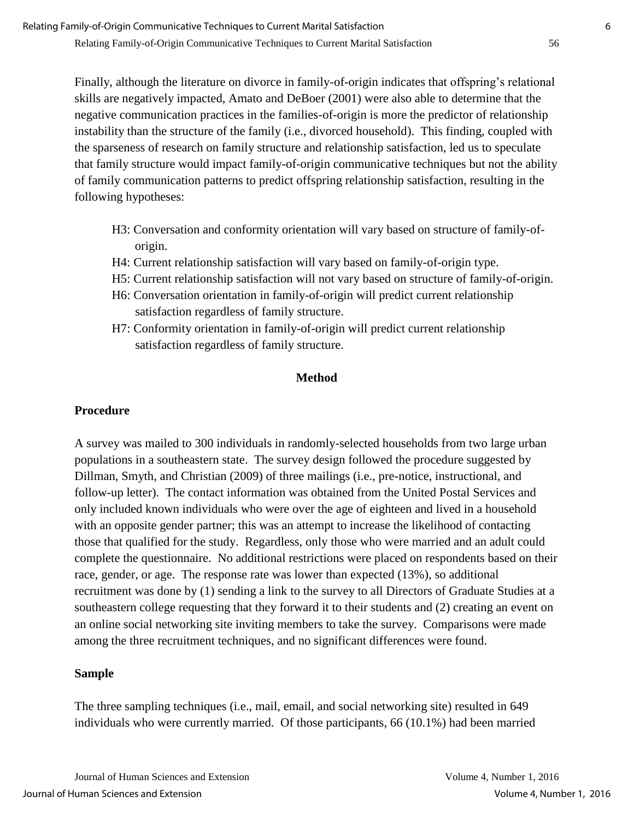Finally, although the literature on divorce in family-of-origin indicates that offspring's relational skills are negatively impacted, Amato and DeBoer (2001) were also able to determine that the negative communication practices in the families-of-origin is more the predictor of relationship instability than the structure of the family (i.e., divorced household). This finding, coupled with the sparseness of research on family structure and relationship satisfaction, led us to speculate that family structure would impact family-of-origin communicative techniques but not the ability of family communication patterns to predict offspring relationship satisfaction, resulting in the following hypotheses:

- H3: Conversation and conformity orientation will vary based on structure of family-oforigin.
- H4: Current relationship satisfaction will vary based on family-of-origin type.
- H5: Current relationship satisfaction will not vary based on structure of family-of-origin.
- H6: Conversation orientation in family-of-origin will predict current relationship satisfaction regardless of family structure.
- H7: Conformity orientation in family-of-origin will predict current relationship satisfaction regardless of family structure.

#### **Method**

# **Procedure**

A survey was mailed to 300 individuals in randomly-selected households from two large urban populations in a southeastern state. The survey design followed the procedure suggested by Dillman, Smyth, and Christian (2009) of three mailings (i.e., pre-notice, instructional, and follow-up letter). The contact information was obtained from the United Postal Services and only included known individuals who were over the age of eighteen and lived in a household with an opposite gender partner; this was an attempt to increase the likelihood of contacting those that qualified for the study. Regardless, only those who were married and an adult could complete the questionnaire. No additional restrictions were placed on respondents based on their race, gender, or age. The response rate was lower than expected (13%), so additional recruitment was done by (1) sending a link to the survey to all Directors of Graduate Studies at a southeastern college requesting that they forward it to their students and (2) creating an event on an online social networking site inviting members to take the survey. Comparisons were made among the three recruitment techniques, and no significant differences were found.

#### **Sample**

The three sampling techniques (i.e., mail, email, and social networking site) resulted in 649 individuals who were currently married. Of those participants, 66 (10.1%) had been married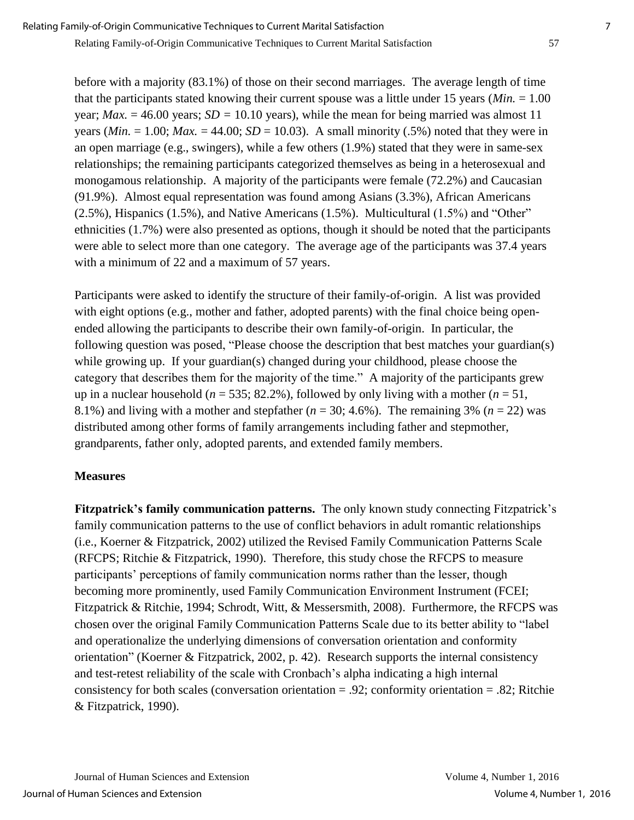before with a majority (83.1%) of those on their second marriages. The average length of time that the participants stated knowing their current spouse was a little under 15 years (*Min.* = 1.00 year; *Max.*  $= 46.00$  years; *SD* = 10.10 years), while the mean for being married was almost 11 years (*Min.*  $= 1.00$ ; *Max.*  $= 44.00$ ; *SD*  $= 10.03$ ). A small minority (.5%) noted that they were in an open marriage (e.g., swingers), while a few others (1.9%) stated that they were in same-sex relationships; the remaining participants categorized themselves as being in a heterosexual and monogamous relationship. A majority of the participants were female (72.2%) and Caucasian (91.9%). Almost equal representation was found among Asians (3.3%), African Americans (2.5%), Hispanics (1.5%), and Native Americans (1.5%). Multicultural (1.5%) and "Other" ethnicities (1.7%) were also presented as options, though it should be noted that the participants were able to select more than one category. The average age of the participants was 37.4 years with a minimum of 22 and a maximum of 57 years.

Participants were asked to identify the structure of their family-of-origin. A list was provided with eight options (e.g., mother and father, adopted parents) with the final choice being openended allowing the participants to describe their own family-of-origin. In particular, the following question was posed, "Please choose the description that best matches your guardian(s) while growing up. If your guardian(s) changed during your childhood, please choose the category that describes them for the majority of the time." A majority of the participants grew up in a nuclear household ( $n = 535$ ; 82.2%), followed by only living with a mother ( $n = 51$ , 8.1%) and living with a mother and stepfather  $(n = 30; 4.6\%)$ . The remaining 3%  $(n = 22)$  was distributed among other forms of family arrangements including father and stepmother, grandparents, father only, adopted parents, and extended family members.

# **Measures**

**Fitzpatrick's family communication patterns.** The only known study connecting Fitzpatrick's family communication patterns to the use of conflict behaviors in adult romantic relationships (i.e., Koerner & Fitzpatrick, 2002) utilized the Revised Family Communication Patterns Scale (RFCPS; Ritchie & Fitzpatrick, 1990). Therefore, this study chose the RFCPS to measure participants' perceptions of family communication norms rather than the lesser, though becoming more prominently, used Family Communication Environment Instrument (FCEI; Fitzpatrick & Ritchie, 1994; Schrodt, Witt, & Messersmith, 2008). Furthermore, the RFCPS was chosen over the original Family Communication Patterns Scale due to its better ability to "label and operationalize the underlying dimensions of conversation orientation and conformity orientation" (Koerner & Fitzpatrick, 2002, p. 42). Research supports the internal consistency and test-retest reliability of the scale with Cronbach's alpha indicating a high internal consistency for both scales (conversation orientation = .92; conformity orientation = .82; Ritchie & Fitzpatrick, 1990).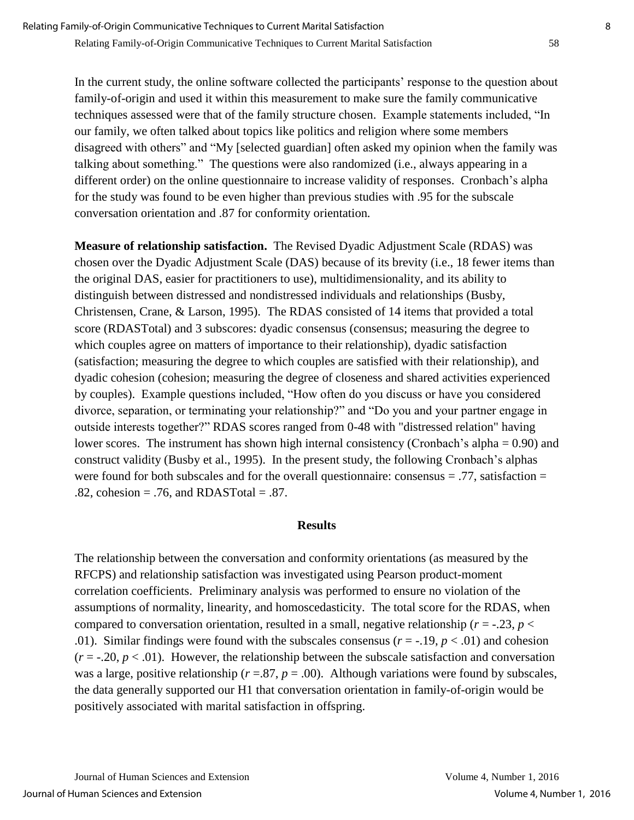In the current study, the online software collected the participants' response to the question about family-of-origin and used it within this measurement to make sure the family communicative techniques assessed were that of the family structure chosen. Example statements included, "In our family, we often talked about topics like politics and religion where some members disagreed with others" and "My [selected guardian] often asked my opinion when the family was talking about something." The questions were also randomized (i.e., always appearing in a different order) on the online questionnaire to increase validity of responses. Cronbach's alpha for the study was found to be even higher than previous studies with .95 for the subscale conversation orientation and .87 for conformity orientation*.* 

**Measure of relationship satisfaction.** The Revised Dyadic Adjustment Scale (RDAS) was chosen over the Dyadic Adjustment Scale (DAS) because of its brevity (i.e., 18 fewer items than the original DAS, easier for practitioners to use), multidimensionality, and its ability to distinguish between distressed and nondistressed individuals and relationships (Busby, Christensen, Crane, & Larson, 1995). The RDAS consisted of 14 items that provided a total score (RDASTotal) and 3 subscores: dyadic consensus (consensus; measuring the degree to which couples agree on matters of importance to their relationship), dyadic satisfaction (satisfaction; measuring the degree to which couples are satisfied with their relationship), and dyadic cohesion (cohesion; measuring the degree of closeness and shared activities experienced by couples). Example questions included, "How often do you discuss or have you considered divorce, separation, or terminating your relationship?" and "Do you and your partner engage in outside interests together?" RDAS scores ranged from 0-48 with "distressed relation" having lower scores. The instrument has shown high internal consistency (Cronbach's alpha = 0.90) and construct validity (Busby et al., 1995). In the present study, the following Cronbach's alphas were found for both subscales and for the overall questionnaire: consensus  $= .77$ , satisfaction  $=$  $.82$ , cohesion = .76, and RDASTotal = .87.

#### **Results**

The relationship between the conversation and conformity orientations (as measured by the RFCPS) and relationship satisfaction was investigated using Pearson product-moment correlation coefficients. Preliminary analysis was performed to ensure no violation of the assumptions of normality, linearity, and homoscedasticity. The total score for the RDAS, when compared to conversation orientation, resulted in a small, negative relationship ( $r = -0.23$ ,  $p <$ .01). Similar findings were found with the subscales consensus  $(r = -1.19, p < .01)$  and cohesion  $(r = -0.20, p < 0.01)$ . However, the relationship between the subscale satisfaction and conversation was a large, positive relationship ( $r = .87$ ,  $p = .00$ ). Although variations were found by subscales, the data generally supported our H1 that conversation orientation in family-of-origin would be positively associated with marital satisfaction in offspring.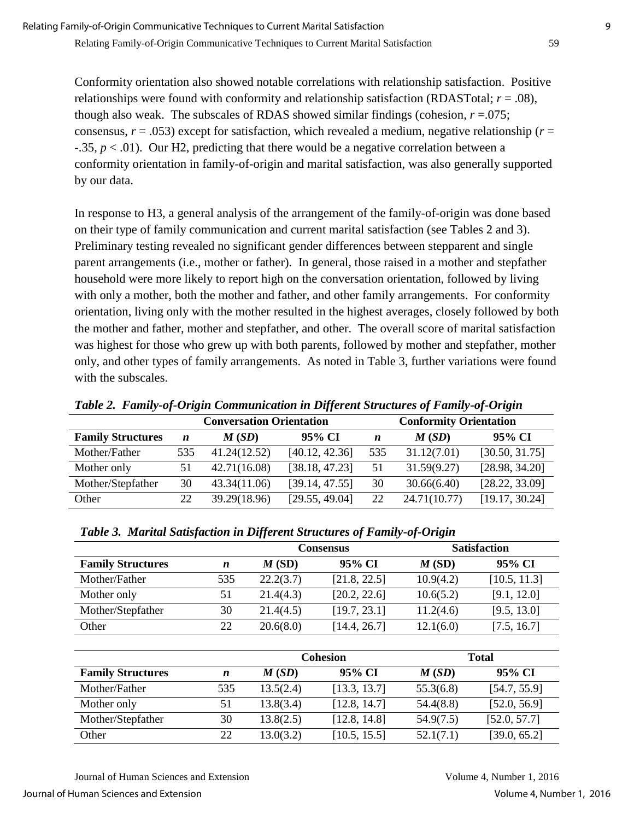Relating Family-of-Origin Communicative Techniques to Current Marital Satisfaction 59

Conformity orientation also showed notable correlations with relationship satisfaction. Positive relationships were found with conformity and relationship satisfaction (RDASTotal; *r* = .08), though also weak. The subscales of RDAS showed similar findings (cohesion,  $r = .075$ ; consensus,  $r = .053$ ) except for satisfaction, which revealed a medium, negative relationship ( $r =$ -.35, *p* < .01). Our H2, predicting that there would be a negative correlation between a conformity orientation in family-of-origin and marital satisfaction, was also generally supported by our data.

In response to H3, a general analysis of the arrangement of the family-of-origin was done based on their type of family communication and current marital satisfaction (see Tables 2 and 3). Preliminary testing revealed no significant gender differences between stepparent and single parent arrangements (i.e., mother or father). In general, those raised in a mother and stepfather household were more likely to report high on the conversation orientation, followed by living with only a mother, both the mother and father, and other family arrangements. For conformity orientation, living only with the mother resulted in the highest averages, closely followed by both the mother and father, mother and stepfather, and other. The overall score of marital satisfaction was highest for those who grew up with both parents, followed by mother and stepfather, mother only, and other types of family arrangements. As noted in Table 3, further variations were found with the subscales.

|                          |                  | <b>Conversation Orientation</b> |                | <b>Conformity Orientation</b> |              |                |  |  |  |
|--------------------------|------------------|---------------------------------|----------------|-------------------------------|--------------|----------------|--|--|--|
| <b>Family Structures</b> | $\boldsymbol{n}$ | M(SD)                           | 95% CI         | $\boldsymbol{n}$              | M(SD)        | 95% CI         |  |  |  |
| Mother/Father            | 535              | 41.24(12.52)                    | [40.12, 42.36] | 535                           | 31.12(7.01)  | [30.50, 31.75] |  |  |  |
| Mother only              | 51               | 42.71(16.08)                    | [38.18, 47.23] | 51                            | 31.59(9.27)  | [28.98, 34.20] |  |  |  |
| Mother/Stepfather        | 30               | 43.34(11.06)                    | [39.14, 47.55] | 30                            | 30.66(6.40)  | [28.22, 33.09] |  |  |  |
| Other                    | 22               | 39.29(18.96)                    | [29.55, 49.04] | 22                            | 24.71(10.77) | [19.17, 30.24] |  |  |  |

*Table 2. Family-of-Origin Communication in Different Structures of Family-of-Origin*

|                          |     |           | Consensus    | <b>Satisfaction</b> |              |  |  |
|--------------------------|-----|-----------|--------------|---------------------|--------------|--|--|
| <b>Family Structures</b> | n   | M(SD)     | 95% CI       | M(SD)               | 95% CI       |  |  |
| Mother/Father            | 535 | 22.2(3.7) | [21.8, 22.5] | 10.9(4.2)           | [10.5, 11.3] |  |  |
| Mother only              | 51  | 21.4(4.3) | [20.2, 22.6] | 10.6(5.2)           | [9.1, 12.0]  |  |  |
| Mother/Stepfather        | 30  | 21.4(4.5) | [19.7, 23.1] | 11.2(4.6)           | [9.5, 13.0]  |  |  |
| Other                    | 22  | 20.6(8.0) | [14.4, 26.7] | 12.1(6.0)           | [7.5, 16.7]  |  |  |

| Table 3. Marital Satisfaction in Different Structures of Family-of-Origin |  |  |  |
|---------------------------------------------------------------------------|--|--|--|
|                                                                           |  |  |  |

|                          |     |           | <b>Cohesion</b> |           | <b>Total</b> |
|--------------------------|-----|-----------|-----------------|-----------|--------------|
| <b>Family Structures</b> | n   | M(SD)     | 95% CI          | M(SD)     | 95% CI       |
| Mother/Father            | 535 | 13.5(2.4) | [13.3, 13.7]    | 55.3(6.8) | [54.7, 55.9] |
| Mother only              | 51  | 13.8(3.4) | [12.8, 14.7]    | 54.4(8.8) | [52.0, 56.9] |
| Mother/Stepfather        | 30  | 13.8(2.5) | [12.8, 14.8]    | 54.9(7.5) | [52.0, 57.7] |
| Other                    | 22  | 13.0(3.2) | [10.5, 15.5]    | 52.1(7.1) | [39.0, 65.2] |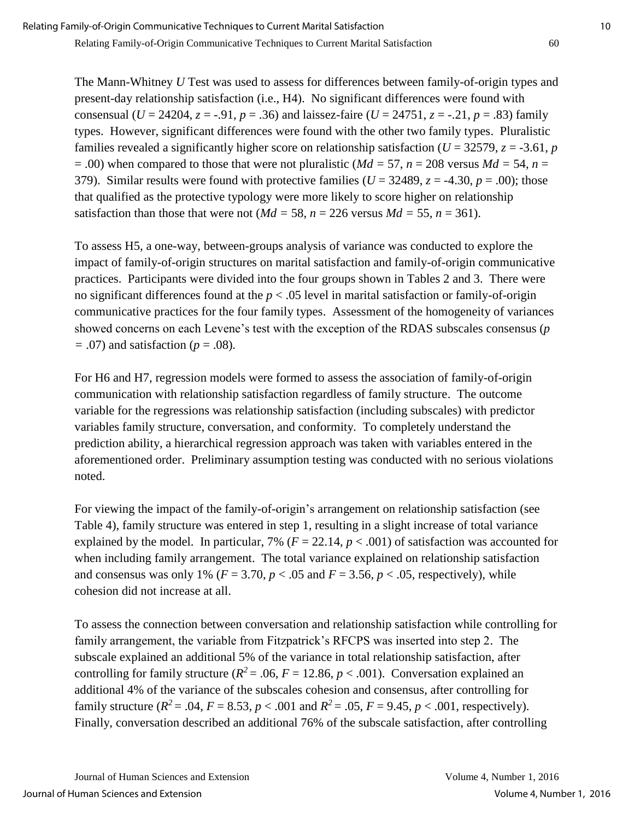The Mann-Whitney *U* Test was used to assess for differences between family-of-origin types and present-day relationship satisfaction (i.e., H4). No significant differences were found with consensual (*U* = 24204, *z* = -.91, *p* = .36) and laissez-faire (*U* = 24751, *z* = -.21, *p* = .83) family types. However, significant differences were found with the other two family types. Pluralistic families revealed a significantly higher score on relationship satisfaction ( $U = 32579$ ,  $z = -3.61$ , *p*  $= .00$ ) when compared to those that were not pluralistic (*Md* = 57, *n* = 208 versus *Md* = 54, *n* = 379). Similar results were found with protective families ( $U = 32489$ ,  $z = -4.30$ ,  $p = .00$ ); those that qualified as the protective typology were more likely to score higher on relationship satisfaction than those that were not ( $Md = 58$ ,  $n = 226$  versus  $Md = 55$ ,  $n = 361$ ).

To assess H5, a one-way, between-groups analysis of variance was conducted to explore the impact of family-of-origin structures on marital satisfaction and family-of-origin communicative practices. Participants were divided into the four groups shown in Tables 2 and 3. There were no significant differences found at the *p* < .05 level in marital satisfaction or family-of-origin communicative practices for the four family types. Assessment of the homogeneity of variances showed concerns on each Levene's test with the exception of the RDAS subscales consensus (*p =* .07) and satisfaction (*p* = .08)*.* 

For H6 and H7, regression models were formed to assess the association of family-of-origin communication with relationship satisfaction regardless of family structure. The outcome variable for the regressions was relationship satisfaction (including subscales) with predictor variables family structure, conversation, and conformity*.* To completely understand the prediction ability, a hierarchical regression approach was taken with variables entered in the aforementioned order. Preliminary assumption testing was conducted with no serious violations noted.

For viewing the impact of the family-of-origin's arrangement on relationship satisfaction (see Table 4), family structure was entered in step 1, resulting in a slight increase of total variance explained by the model. In particular, 7% ( $F = 22.14$ ,  $p < .001$ ) of satisfaction was accounted for when including family arrangement. The total variance explained on relationship satisfaction and consensus was only 1% ( $F = 3.70$ ,  $p < .05$  and  $F = 3.56$ ,  $p < .05$ , respectively), while cohesion did not increase at all.

To assess the connection between conversation and relationship satisfaction while controlling for family arrangement, the variable from Fitzpatrick's RFCPS was inserted into step 2. The subscale explained an additional 5% of the variance in total relationship satisfaction, after controlling for family structure ( $R^2$  = .06,  $F$  = 12.86,  $p$  < .001). Conversation explained an additional 4% of the variance of the subscales cohesion and consensus, after controlling for family structure  $(R^2 = .04, F = 8.53, p < .001$  and  $R^2 = .05, F = 9.45, p < .001$ , respectively). Finally, conversation described an additional 76% of the subscale satisfaction, after controlling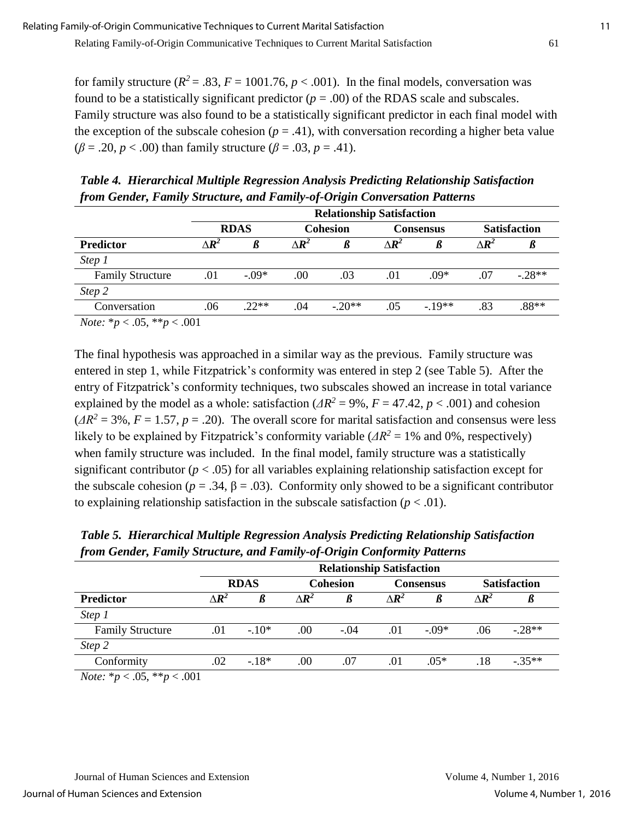for family structure ( $R^2 = .83$ ,  $F = 1001.76$ ,  $p < .001$ ). In the final models, conversation was found to be a statistically significant predictor  $(p = .00)$  of the RDAS scale and subscales. Family structure was also found to be a statistically significant predictor in each final model with the exception of the subscale cohesion  $(p = .41)$ , with conversation recording a higher beta value  $(\beta = .20, p < .00)$  than family structure  $(\beta = .03, p = .41)$ .

*Table 4. Hierarchical Multiple Regression Analysis Predicting Relationship Satisfaction from Gender, Family Structure, and Family-of-Origin Conversation Patterns*

|                                            |                   | <b>Relationship Satisfaction</b> |                   |                 |                   |           |                   |                     |  |
|--------------------------------------------|-------------------|----------------------------------|-------------------|-----------------|-------------------|-----------|-------------------|---------------------|--|
|                                            |                   | <b>RDAS</b>                      |                   | <b>Cohesion</b> |                   | Consensus |                   | <b>Satisfaction</b> |  |
| Predictor                                  | $\wedge \bm{R}^2$ |                                  | $\wedge \bm{R}^2$ |                 | $\Delta \bm{R}^2$ |           | $\Delta \bm{R}^2$ |                     |  |
| Step 1                                     |                   |                                  |                   |                 |                   |           |                   |                     |  |
| <b>Family Structure</b>                    | .01               | $-.09*$                          | .00               | .03             | .01               | $.09*$    | .07               | $-28**$             |  |
| Step 2                                     |                   |                                  |                   |                 |                   |           |                   |                     |  |
| Conversation                               | .06               | $.22**$                          | .04               | $-20**$         | .05               | $-19**$   | .83               | .88**               |  |
| $N_{\text{obs}}$ * $\sim 05$ ** $\sim 001$ |                   |                                  |                   |                 |                   |           |                   |                     |  |

*Note:* \**p* < .05, \*\**p* < .001

The final hypothesis was approached in a similar way as the previous. Family structure was entered in step 1, while Fitzpatrick's conformity was entered in step 2 (see Table 5). After the entry of Fitzpatrick's conformity techniques, two subscales showed an increase in total variance explained by the model as a whole: satisfaction ( $\Delta R^2 = 9\%$ ,  $F = 47.42$ ,  $p < .001$ ) and cohesion  $(4R^2 = 3\%, F = 1.57, p = .20)$ . The overall score for marital satisfaction and consensus were less likely to be explained by Fitzpatrick's conformity variable ( $\Delta R^2 = 1\%$  and 0%, respectively) when family structure was included. In the final model, family structure was a statistically significant contributor ( $p < .05$ ) for all variables explaining relationship satisfaction except for the subscale cohesion ( $p = .34$ ,  $\beta = .03$ ). Conformity only showed to be a significant contributor to explaining relationship satisfaction in the subscale satisfaction  $(p < .01)$ .

*Table 5. Hierarchical Multiple Regression Analysis Predicting Relationship Satisfaction from Gender, Family Structure, and Family-of-Origin Conformity Patterns*

|                                                      |                   | <b>Relationship Satisfaction</b> |                   |                 |                   |                  |                   |                     |
|------------------------------------------------------|-------------------|----------------------------------|-------------------|-----------------|-------------------|------------------|-------------------|---------------------|
|                                                      |                   | <b>RDAS</b>                      |                   | <b>Cohesion</b> |                   | <b>Consensus</b> |                   | <b>Satisfaction</b> |
| <b>Predictor</b>                                     | $\Delta \bm{R}^2$ |                                  | $\Delta \bm{R}^2$ |                 | $\Delta \bm{R}^2$ |                  | $\Delta \bm{R}^2$ |                     |
| Step 1                                               |                   |                                  |                   |                 |                   |                  |                   |                     |
| <b>Family Structure</b>                              | .01               | $-.10*$                          | .00               | $-.04$          | .01               | $-.09*$          | .06               | $-.28**$            |
| Step 2                                               |                   |                                  |                   |                 |                   |                  |                   |                     |
| Conformity                                           | .02               | $-18*$                           | .00               | .07             | .01               | $.05*$           | .18               | $-.35**$            |
| $N_{\alpha\ell\alpha}$ , *n $\geq$ 05 **n $\geq$ 001 |                   |                                  |                   |                 |                   |                  |                   |                     |

*Note:* \**p* < .05, \*\**p* < .001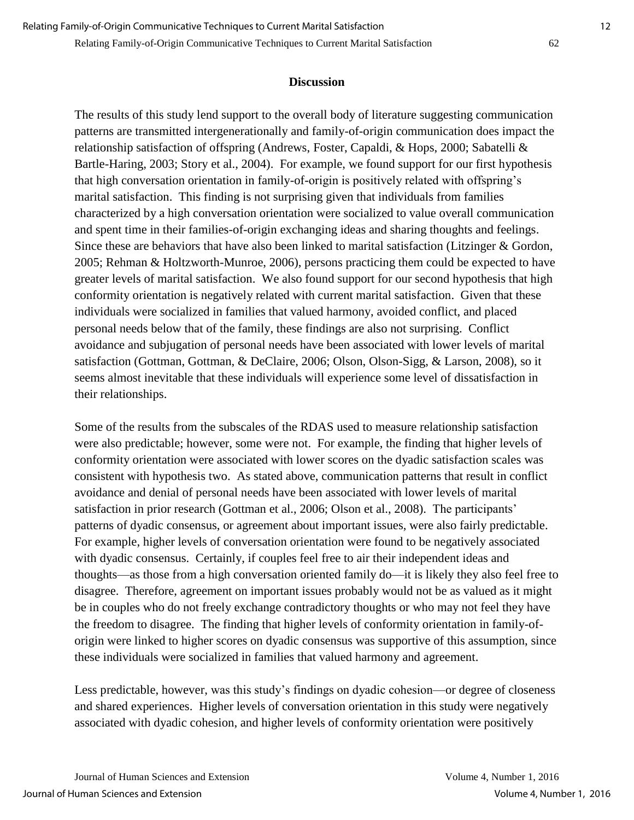### **Discussion**

The results of this study lend support to the overall body of literature suggesting communication patterns are transmitted intergenerationally and family-of-origin communication does impact the relationship satisfaction of offspring (Andrews, Foster, Capaldi, & Hops, 2000; Sabatelli & Bartle-Haring, 2003; Story et al., 2004). For example, we found support for our first hypothesis that high conversation orientation in family-of-origin is positively related with offspring's marital satisfaction. This finding is not surprising given that individuals from families characterized by a high conversation orientation were socialized to value overall communication and spent time in their families-of-origin exchanging ideas and sharing thoughts and feelings. Since these are behaviors that have also been linked to marital satisfaction (Litzinger & Gordon, 2005; Rehman & Holtzworth-Munroe, 2006), persons practicing them could be expected to have greater levels of marital satisfaction. We also found support for our second hypothesis that high conformity orientation is negatively related with current marital satisfaction. Given that these individuals were socialized in families that valued harmony, avoided conflict, and placed personal needs below that of the family, these findings are also not surprising. Conflict avoidance and subjugation of personal needs have been associated with lower levels of marital satisfaction (Gottman, Gottman, & DeClaire, 2006; Olson, Olson-Sigg, & Larson, 2008), so it seems almost inevitable that these individuals will experience some level of dissatisfaction in their relationships.

Some of the results from the subscales of the RDAS used to measure relationship satisfaction were also predictable; however, some were not. For example, the finding that higher levels of conformity orientation were associated with lower scores on the dyadic satisfaction scales was consistent with hypothesis two. As stated above, communication patterns that result in conflict avoidance and denial of personal needs have been associated with lower levels of marital satisfaction in prior research (Gottman et al., 2006; Olson et al., 2008). The participants' patterns of dyadic consensus, or agreement about important issues, were also fairly predictable. For example, higher levels of conversation orientation were found to be negatively associated with dyadic consensus. Certainly, if couples feel free to air their independent ideas and thoughts—as those from a high conversation oriented family do—it is likely they also feel free to disagree. Therefore, agreement on important issues probably would not be as valued as it might be in couples who do not freely exchange contradictory thoughts or who may not feel they have the freedom to disagree. The finding that higher levels of conformity orientation in family-oforigin were linked to higher scores on dyadic consensus was supportive of this assumption, since these individuals were socialized in families that valued harmony and agreement.

Less predictable, however, was this study's findings on dyadic cohesion—or degree of closeness and shared experiences. Higher levels of conversation orientation in this study were negatively associated with dyadic cohesion, and higher levels of conformity orientation were positively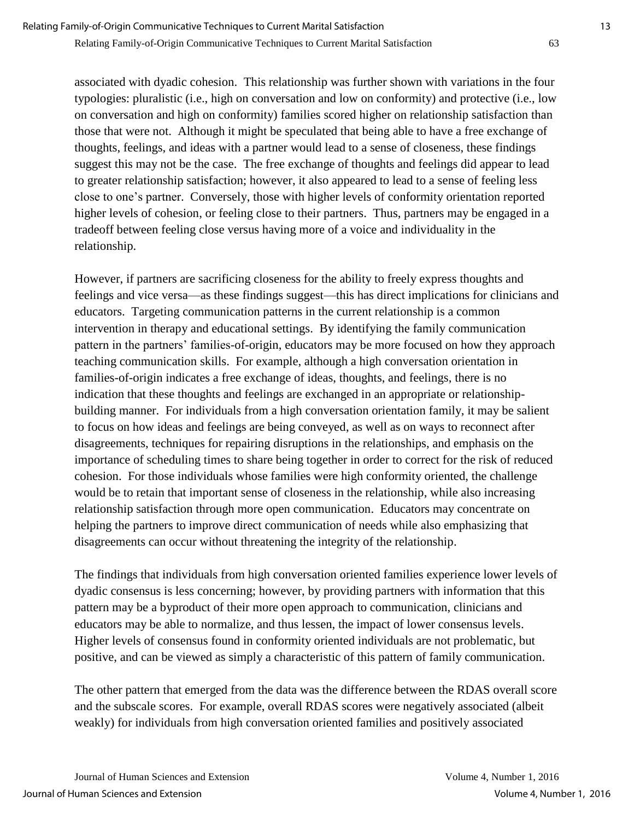associated with dyadic cohesion. This relationship was further shown with variations in the four typologies: pluralistic (i.e., high on conversation and low on conformity) and protective (i.e., low on conversation and high on conformity) families scored higher on relationship satisfaction than those that were not. Although it might be speculated that being able to have a free exchange of thoughts, feelings, and ideas with a partner would lead to a sense of closeness, these findings suggest this may not be the case. The free exchange of thoughts and feelings did appear to lead to greater relationship satisfaction; however, it also appeared to lead to a sense of feeling less close to one's partner. Conversely, those with higher levels of conformity orientation reported higher levels of cohesion, or feeling close to their partners. Thus, partners may be engaged in a tradeoff between feeling close versus having more of a voice and individuality in the relationship.

However, if partners are sacrificing closeness for the ability to freely express thoughts and feelings and vice versa—as these findings suggest—this has direct implications for clinicians and educators. Targeting communication patterns in the current relationship is a common intervention in therapy and educational settings. By identifying the family communication pattern in the partners' families-of-origin, educators may be more focused on how they approach teaching communication skills. For example, although a high conversation orientation in families-of-origin indicates a free exchange of ideas, thoughts, and feelings, there is no indication that these thoughts and feelings are exchanged in an appropriate or relationshipbuilding manner. For individuals from a high conversation orientation family, it may be salient to focus on how ideas and feelings are being conveyed, as well as on ways to reconnect after disagreements, techniques for repairing disruptions in the relationships, and emphasis on the importance of scheduling times to share being together in order to correct for the risk of reduced cohesion. For those individuals whose families were high conformity oriented, the challenge would be to retain that important sense of closeness in the relationship, while also increasing relationship satisfaction through more open communication. Educators may concentrate on helping the partners to improve direct communication of needs while also emphasizing that disagreements can occur without threatening the integrity of the relationship.

The findings that individuals from high conversation oriented families experience lower levels of dyadic consensus is less concerning; however, by providing partners with information that this pattern may be a byproduct of their more open approach to communication, clinicians and educators may be able to normalize, and thus lessen, the impact of lower consensus levels. Higher levels of consensus found in conformity oriented individuals are not problematic, but positive, and can be viewed as simply a characteristic of this pattern of family communication.

The other pattern that emerged from the data was the difference between the RDAS overall score and the subscale scores. For example, overall RDAS scores were negatively associated (albeit weakly) for individuals from high conversation oriented families and positively associated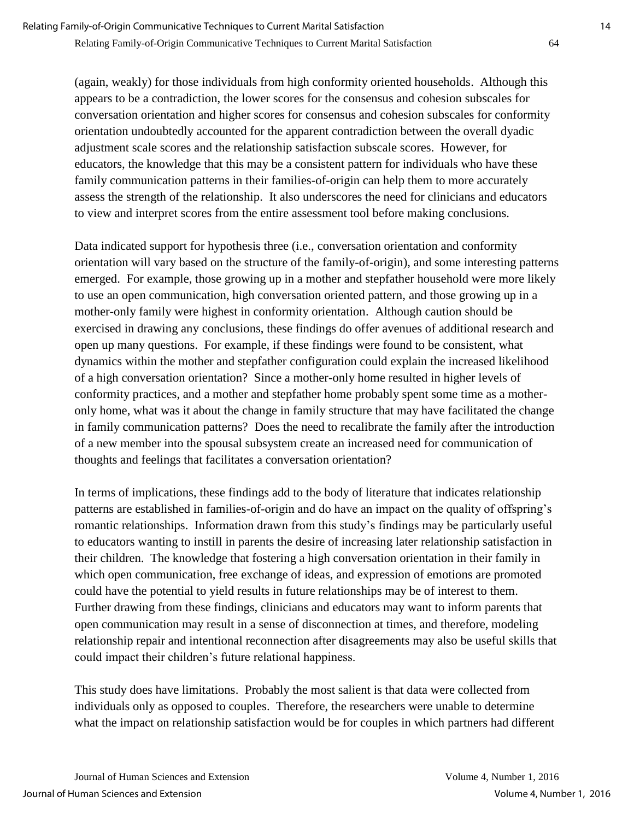(again, weakly) for those individuals from high conformity oriented households. Although this appears to be a contradiction, the lower scores for the consensus and cohesion subscales for conversation orientation and higher scores for consensus and cohesion subscales for conformity orientation undoubtedly accounted for the apparent contradiction between the overall dyadic adjustment scale scores and the relationship satisfaction subscale scores. However, for educators, the knowledge that this may be a consistent pattern for individuals who have these family communication patterns in their families-of-origin can help them to more accurately assess the strength of the relationship. It also underscores the need for clinicians and educators to view and interpret scores from the entire assessment tool before making conclusions.

Data indicated support for hypothesis three (i.e., conversation orientation and conformity orientation will vary based on the structure of the family-of-origin), and some interesting patterns emerged. For example, those growing up in a mother and stepfather household were more likely to use an open communication, high conversation oriented pattern, and those growing up in a mother-only family were highest in conformity orientation. Although caution should be exercised in drawing any conclusions, these findings do offer avenues of additional research and open up many questions. For example, if these findings were found to be consistent, what dynamics within the mother and stepfather configuration could explain the increased likelihood of a high conversation orientation? Since a mother-only home resulted in higher levels of conformity practices, and a mother and stepfather home probably spent some time as a motheronly home, what was it about the change in family structure that may have facilitated the change in family communication patterns? Does the need to recalibrate the family after the introduction of a new member into the spousal subsystem create an increased need for communication of thoughts and feelings that facilitates a conversation orientation?

In terms of implications, these findings add to the body of literature that indicates relationship patterns are established in families-of-origin and do have an impact on the quality of offspring's romantic relationships. Information drawn from this study's findings may be particularly useful to educators wanting to instill in parents the desire of increasing later relationship satisfaction in their children. The knowledge that fostering a high conversation orientation in their family in which open communication, free exchange of ideas, and expression of emotions are promoted could have the potential to yield results in future relationships may be of interest to them. Further drawing from these findings, clinicians and educators may want to inform parents that open communication may result in a sense of disconnection at times, and therefore, modeling relationship repair and intentional reconnection after disagreements may also be useful skills that could impact their children's future relational happiness.

This study does have limitations. Probably the most salient is that data were collected from individuals only as opposed to couples. Therefore, the researchers were unable to determine what the impact on relationship satisfaction would be for couples in which partners had different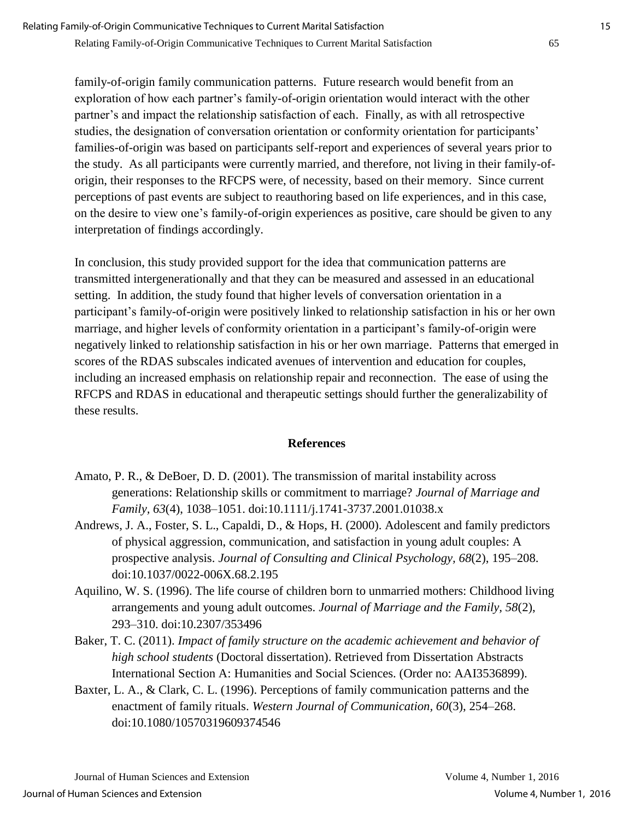family-of-origin family communication patterns. Future research would benefit from an exploration of how each partner's family-of-origin orientation would interact with the other partner's and impact the relationship satisfaction of each. Finally, as with all retrospective studies, the designation of conversation orientation or conformity orientation for participants' families-of-origin was based on participants self-report and experiences of several years prior to the study. As all participants were currently married, and therefore, not living in their family-oforigin, their responses to the RFCPS were, of necessity, based on their memory. Since current perceptions of past events are subject to reauthoring based on life experiences, and in this case, on the desire to view one's family-of-origin experiences as positive, care should be given to any interpretation of findings accordingly.

In conclusion, this study provided support for the idea that communication patterns are transmitted intergenerationally and that they can be measured and assessed in an educational setting. In addition, the study found that higher levels of conversation orientation in a participant's family-of-origin were positively linked to relationship satisfaction in his or her own marriage, and higher levels of conformity orientation in a participant's family-of-origin were negatively linked to relationship satisfaction in his or her own marriage. Patterns that emerged in scores of the RDAS subscales indicated avenues of intervention and education for couples, including an increased emphasis on relationship repair and reconnection. The ease of using the RFCPS and RDAS in educational and therapeutic settings should further the generalizability of these results.

# **References**

- Amato, P. R., & DeBoer, D. D. (2001). The transmission of marital instability across generations: Relationship skills or commitment to marriage? *Journal of Marriage and Family, 63*(4), 1038–1051. doi:10.1111/j.1741-3737.2001.01038.x
- Andrews, J. A., Foster, S. L., Capaldi, D., & Hops, H. (2000). Adolescent and family predictors of physical aggression, communication, and satisfaction in young adult couples: A prospective analysis. *Journal of Consulting and Clinical Psychology, 68*(2), 195–208. doi:10.1037/0022-006X.68.2.195
- Aquilino, W. S. (1996). The life course of children born to unmarried mothers: Childhood living arrangements and young adult outcomes. *Journal of Marriage and the Family, 58*(2), 293–310. doi:10.2307/353496
- Baker, T. C. (2011). *Impact of family structure on the academic achievement and behavior of high school students* (Doctoral dissertation). Retrieved from Dissertation Abstracts International Section A: Humanities and Social Sciences. (Order no: AAI3536899).
- Baxter, L. A., & Clark, C. L. (1996). Perceptions of family communication patterns and the enactment of family rituals. *Western Journal of Communication, 60*(3), 254–268. doi:10.1080/10570319609374546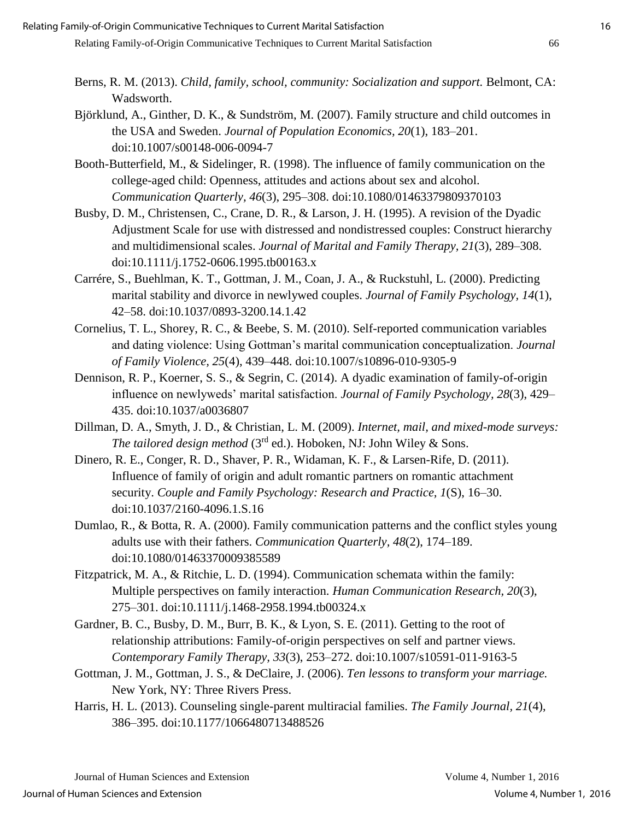- Berns, R. M. (2013). *Child, family, school, community: Socialization and support.* Belmont, CA: Wadsworth.
- Björklund, A., Ginther, D. K., & Sundström, M. (2007). Family structure and child outcomes in the USA and Sweden. *Journal of Population Economics, 20*(1), 183–201. doi:10.1007/s00148-006-0094-7
- Booth-Butterfield, M., & Sidelinger, R. (1998). The influence of family communication on the college-aged child: Openness, attitudes and actions about sex and alcohol. *Communication Quarterly, 46*(3), 295–308. doi:10.1080/01463379809370103
- Busby, D. M., Christensen, C., Crane, D. R., & Larson, J. H. (1995). A revision of the Dyadic Adjustment Scale for use with distressed and nondistressed couples: Construct hierarchy and multidimensional scales. *Journal of Marital and Family Therapy, 21*(3), 289–308. doi:10.1111/j.1752-0606.1995.tb00163.x
- Carrére, S., Buehlman, K. T., Gottman, J. M., Coan, J. A., & Ruckstuhl, L. (2000). Predicting marital stability and divorce in newlywed couples. *Journal of Family Psychology, 14*(1), 42–58. doi:10.1037/0893-3200.14.1.42
- Cornelius, T. L., Shorey, R. C., & Beebe, S. M. (2010). Self-reported communication variables and dating violence: Using Gottman's marital communication conceptualization. *Journal of Family Violence, 25*(4), 439–448. doi:10.1007/s10896-010-9305-9
- Dennison, R. P., Koerner, S. S., & Segrin, C. (2014). A dyadic examination of family-of-origin influence on newlyweds' marital satisfaction. *Journal of Family Psychology, 28*(3), 429– 435. doi:10.1037/a0036807
- Dillman, D. A., Smyth, J. D., & Christian, L. M. (2009). *Internet, mail, and mixed-mode surveys: The tailored design method* (3<sup>rd</sup> ed.). Hoboken, NJ: John Wiley & Sons.
- Dinero, R. E., Conger, R. D., Shaver, P. R., Widaman, K. F., & Larsen-Rife, D. (2011). Influence of family of origin and adult romantic partners on romantic attachment security. *Couple and Family Psychology: Research and Practice, 1*(S), 16–30. doi:10.1037/2160-4096.1.S.16
- Dumlao, R., & Botta, R. A. (2000). Family communication patterns and the conflict styles young adults use with their fathers. *Communication Quarterly, 48*(2), 174–189. doi:10.1080/01463370009385589
- Fitzpatrick, M. A., & Ritchie, L. D. (1994). Communication schemata within the family: Multiple perspectives on family interaction. *Human Communication Research, 20*(3), 275–301. doi:10.1111/j.1468-2958.1994.tb00324.x
- Gardner, B. C., Busby, D. M., Burr, B. K., & Lyon, S. E. (2011). Getting to the root of relationship attributions: Family-of-origin perspectives on self and partner views. *Contemporary Family Therapy, 33*(3), 253–272. doi:10.1007/s10591-011-9163-5
- Gottman, J. M., Gottman, J. S., & DeClaire, J. (2006). *Ten lessons to transform your marriage.*  New York, NY: Three Rivers Press.
- Harris, H. L. (2013). Counseling single-parent multiracial families. *The Family Journal, 21*(4), 386–395. doi:10.1177/1066480713488526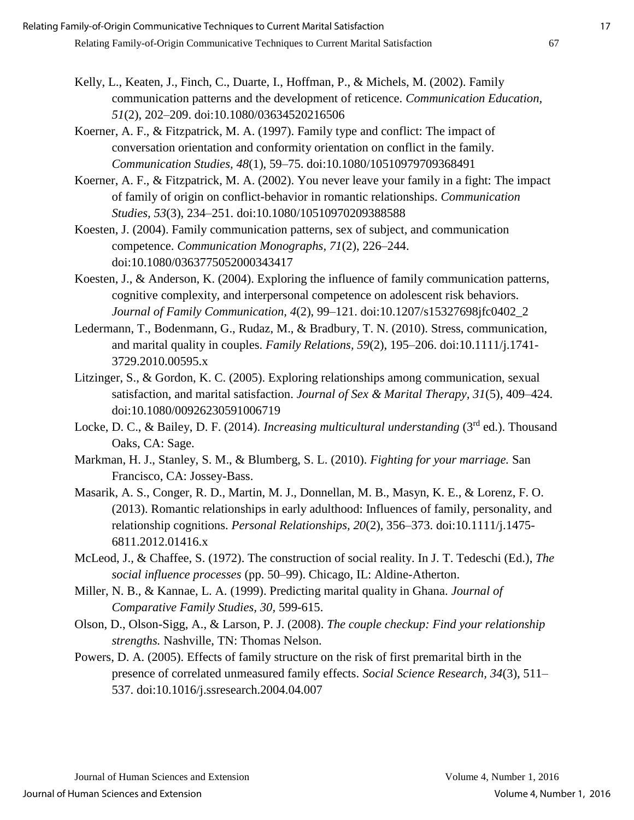- Kelly, L., Keaten, J., Finch, C., Duarte, I., Hoffman, P., & Michels, M. (2002). Family communication patterns and the development of reticence. *Communication Education, 51*(2), 202–209. doi:10.1080/03634520216506
- Koerner, A. F., & Fitzpatrick, M. A. (1997). Family type and conflict: The impact of conversation orientation and conformity orientation on conflict in the family. *Communication Studies, 48*(1), 59–75. doi:10.1080/10510979709368491
- Koerner, A. F., & Fitzpatrick, M. A. (2002). You never leave your family in a fight: The impact of family of origin on conflict-behavior in romantic relationships. *Communication Studies, 53*(3), 234–251. doi:10.1080/10510970209388588
- Koesten, J. (2004). Family communication patterns, sex of subject, and communication competence. *Communication Monographs, 71*(2), 226–244. doi:10.1080/0363775052000343417
- Koesten, J., & Anderson, K. (2004). Exploring the influence of family communication patterns, cognitive complexity, and interpersonal competence on adolescent risk behaviors. *Journal of Family Communication, 4*(2), 99–121. doi:10.1207/s15327698jfc0402\_2
- Ledermann, T., Bodenmann, G., Rudaz, M., & Bradbury, T. N. (2010). Stress, communication, and marital quality in couples. *Family Relations, 59*(2), 195–206. doi:10.1111/j.1741- 3729.2010.00595.x
- Litzinger, S., & Gordon, K. C. (2005). Exploring relationships among communication, sexual satisfaction, and marital satisfaction. *Journal of Sex & Marital Therapy, 31*(5), 409–424. doi:10.1080/00926230591006719
- Locke, D. C., & Bailey, D. F. (2014). *Increasing multicultural understanding* (3<sup>rd</sup> ed.). Thousand Oaks, CA: Sage.
- Markman, H. J., Stanley, S. M., & Blumberg, S. L. (2010). *Fighting for your marriage.* San Francisco, CA: Jossey-Bass.
- Masarik, A. S., Conger, R. D., Martin, M. J., Donnellan, M. B., Masyn, K. E., & Lorenz, F. O. (2013). Romantic relationships in early adulthood: Influences of family, personality, and relationship cognitions. *Personal Relationships, 20*(2), 356–373. doi:10.1111/j.1475- 6811.2012.01416.x
- McLeod, J., & Chaffee, S. (1972). The construction of social reality. In J. T. Tedeschi (Ed.), *The social influence processes* (pp. 50–99). Chicago, IL: Aldine-Atherton.
- Miller, N. B., & Kannae, L. A. (1999). Predicting marital quality in Ghana. *Journal of Comparative Family Studies, 30,* 599-615.
- Olson, D., Olson-Sigg, A., & Larson, P. J. (2008). *The couple checkup: Find your relationship strengths.* Nashville, TN: Thomas Nelson.
- Powers, D. A. (2005). Effects of family structure on the risk of first premarital birth in the presence of correlated unmeasured family effects. *Social Science Research, 34*(3), 511– 537. doi:10.1016/j.ssresearch.2004.04.007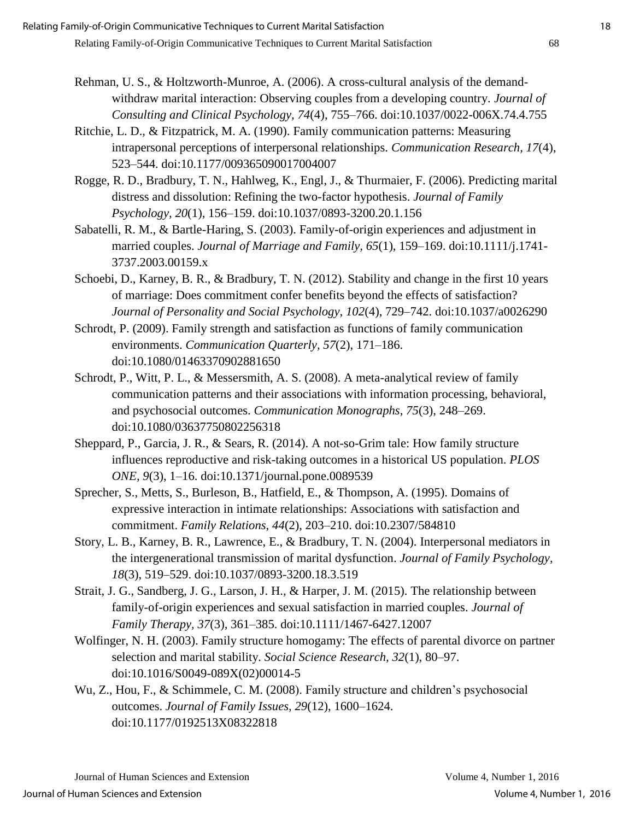- Rehman, U. S., & Holtzworth-Munroe, A. (2006). A cross-cultural analysis of the demandwithdraw marital interaction: Observing couples from a developing country. *Journal of Consulting and Clinical Psychology, 74*(4), 755–766. doi:10.1037/0022-006X.74.4.755
- Ritchie, L. D., & Fitzpatrick, M. A. (1990). Family communication patterns: Measuring intrapersonal perceptions of interpersonal relationships. *Communication Research, 17*(4), 523–544. doi:10.1177/009365090017004007
- Rogge, R. D., Bradbury, T. N., Hahlweg, K., Engl, J., & Thurmaier, F. (2006). Predicting marital distress and dissolution: Refining the two-factor hypothesis. *Journal of Family Psychology, 20*(1), 156–159. doi:10.1037/0893-3200.20.1.156
- Sabatelli, R. M., & Bartle-Haring, S. (2003). Family-of-origin experiences and adjustment in married couples. *Journal of Marriage and Family, 65*(1), 159–169. doi:10.1111/j.1741- 3737.2003.00159.x
- Schoebi, D., Karney, B. R., & Bradbury, T. N. (2012). Stability and change in the first 10 years of marriage: Does commitment confer benefits beyond the effects of satisfaction? *Journal of Personality and Social Psychology, 102*(4), 729–742. doi:10.1037/a0026290
- Schrodt, P. (2009). Family strength and satisfaction as functions of family communication environments. *Communication Quarterly, 57*(2), 171–186. doi:10.1080/01463370902881650
- Schrodt, P., Witt, P. L., & Messersmith, A. S. (2008). A meta-analytical review of family communication patterns and their associations with information processing, behavioral, and psychosocial outcomes. *Communication Monographs, 75*(3), 248–269. doi:10.1080/03637750802256318
- Sheppard, P., Garcia, J. R., & Sears, R. (2014). A not-so-Grim tale: How family structure influences reproductive and risk-taking outcomes in a historical US population. *PLOS ONE, 9*(3), 1–16. doi:10.1371/journal.pone.0089539
- Sprecher, S., Metts, S., Burleson, B., Hatfield, E., & Thompson, A. (1995). Domains of expressive interaction in intimate relationships: Associations with satisfaction and commitment. *Family Relations, 44*(2), 203–210. doi:10.2307/584810
- Story, L. B., Karney, B. R., Lawrence, E., & Bradbury, T. N. (2004). Interpersonal mediators in the intergenerational transmission of marital dysfunction. *Journal of Family Psychology, 18*(3), 519–529. doi:10.1037/0893-3200.18.3.519
- Strait, J. G., Sandberg, J. G., Larson, J. H., & Harper, J. M. (2015). The relationship between family-of-origin experiences and sexual satisfaction in married couples. *Journal of Family Therapy, 37*(3), 361–385. doi:10.1111/1467-6427.12007
- Wolfinger, N. H. (2003). Family structure homogamy: The effects of parental divorce on partner selection and marital stability. *Social Science Research, 32*(1), 80–97. doi:10.1016/S0049-089X(02)00014-5
- Wu, Z., Hou, F., & Schimmele, C. M. (2008). Family structure and children's psychosocial outcomes. *Journal of Family Issues, 29*(12), 1600–1624. doi:10.1177/0192513X08322818